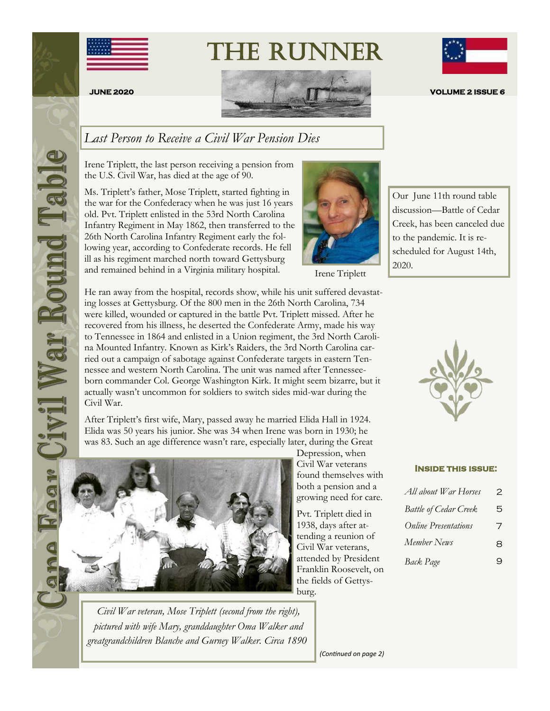

# The Runner







# **JUNE 2020 VOLUME 2 ISSUE 6**

### *Last Person to Receive a Civil War Pension Dies*

Irene Triplett, the last person receiving a pension from the U.S. Civil War, has died at the age of 90.

Ms. Triplett's father, Mose Triplett, started fighting in the war for the Confederacy when he was just 16 years old. Pvt. Triplett enlisted in the 53rd North Carolina Infantry Regiment in May 1862, then transferred to the 26th North Carolina Infantry Regiment early the following year, according to Confederate records. He fell ill as his regiment marched north toward Gettysburg and remained behind in a Virginia military hospital.



Irene Triplett

He ran away from the hospital, records show, while his unit suffered devastating losses at Gettysburg. Of the 800 men in the 26th North Carolina, 734 were killed, wounded or captured in the battle Pvt. Triplett missed. After he recovered from his illness, he deserted the Confederate Army, made his way to Tennessee in 1864 and enlisted in a Union regiment, the 3rd North Carolina Mounted Infantry. Known as Kirk's Raiders, the 3rd North Carolina carried out a campaign of sabotage against Confederate targets in eastern Tennessee and western North Carolina. The unit was named after Tennesseeborn commander Col. George Washington Kirk. It might seem bizarre, but it actually wasn't uncommon for soldiers to switch sides mid-war during the Civil War.

After Triplett's first wife, Mary, passed away he married Elida Hall in 1924. Elida was 50 years his junior. She was 34 when Irene was born in 1930; he was 83. Such an age difference wasn't rare, especially later, during the Great



*Civil War veteran, Mose Triplett (second from the right), pictured with wife Mary, granddaughter Oma Walker and greatgrandchildren Blanche and Gurney Walker. Circa 1890*

Depression, when Civil War veterans found themselves with both a pension and a growing need for care.

Pvt. Triplett died in 1938, days after attending a reunion of Civil War veterans, attended by President Franklin Roosevelt, on the fields of Gettysburg.

Our June 11th round table discussion—Battle of Cedar Creek, has been canceled due to the pandemic. It is rescheduled for August 14th, 2020.



#### **Inside this issue:**

| All about War Horses         | 2 |
|------------------------------|---|
| <b>Battle of Cedar Creek</b> | 5 |
| <b>Online Presentations</b>  | 7 |
| Member News                  | 8 |
| Back Page                    | 9 |

*(Continued on page 2)*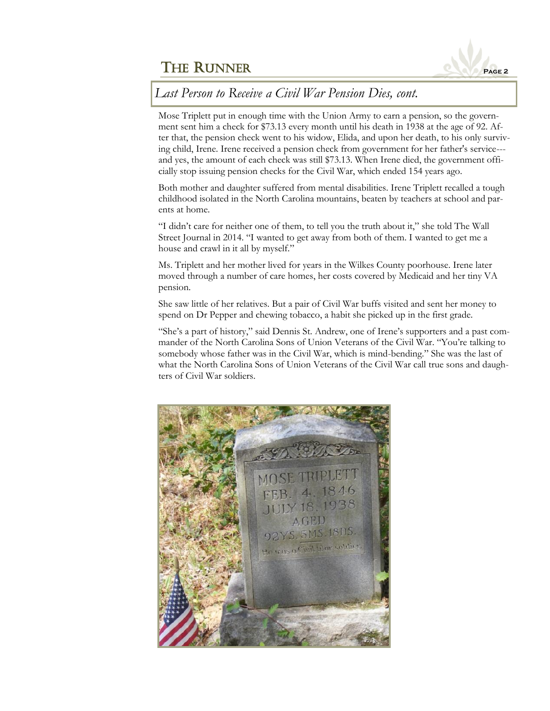

## *Last Person to Receive a Civil War Pension Dies, cont.*

Mose Triplett put in enough time with the Union Army to earn a pension, so the government sent him a check for \$73.13 every month until his death in 1938 at the age of 92. After that, the pension check went to his widow, Elida, and upon her death, to his only surviving child, Irene. Irene received a pension check from government for her father's service-- and yes, the amount of each check was still \$73.13. When Irene died, the government officially stop issuing pension checks for the Civil War, which ended 154 years ago.

Both mother and daughter suffered from mental disabilities. Irene Triplett recalled a tough childhood isolated in the North Carolina mountains, beaten by teachers at school and parents at home.

"I didn't care for neither one of them, to tell you the truth about it," she told The Wall Street Journal in 2014. "I wanted to get away from both of them. I wanted to get me a house and crawl in it all by myself."

Ms. Triplett and her mother lived for years in the Wilkes County poorhouse. Irene later moved through a number of care homes, her costs covered by Medicaid and her tiny VA pension.

She saw little of her relatives. But a pair of Civil War buffs visited and sent her money to spend on Dr Pepper and chewing tobacco, a habit she picked up in the first grade.

"She's a part of history," said Dennis St. Andrew, one of Irene's supporters and a past commander of the North Carolina Sons of Union Veterans of the Civil War. "You're talking to somebody whose father was in the Civil War, which is mind-bending." She was the last of what the North Carolina Sons of Union Veterans of the Civil War call true sons and daughters of Civil War soldiers.

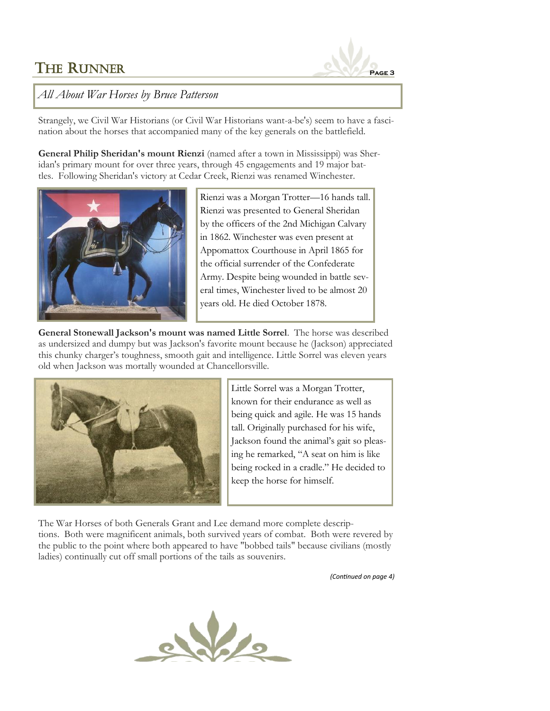

#### *All About War Horses by Bruce Patterson*

Strangely, we Civil War Historians (or Civil War Historians want-a-be's) seem to have a fascination about the horses that accompanied many of the key generals on the battlefield.

**General Philip Sheridan's mount Rienzi** (named after a town in Mississippi) was Sheridan's primary mount for over three years, through 45 engagements and 19 major battles. Following Sheridan's victory at Cedar Creek, Rienzi was renamed Winchester.



Rienzi was a Morgan Trotter—16 hands tall. Rienzi was presented to General Sheridan by the officers of the 2nd Michigan Calvary in 1862. Winchester was even present at Appomattox Courthouse in April 1865 for the official surrender of the Confederate Army. Despite being wounded in battle several times, Winchester lived to be almost 20 years old. He died October 1878.

**General Stonewall Jackson's mount was named Little Sorrel**. The horse was described as undersized and dumpy but was Jackson's favorite mount because he (Jackson) appreciated this chunky charger's toughness, smooth gait and intelligence. Little Sorrel was eleven years old when Jackson was mortally wounded at Chancellorsville.



Little Sorrel was a Morgan Trotter, known for their endurance as well as being quick and agile. He was 15 hands tall. Originally purchased for his wife, Jackson found the animal's gait so pleasing he remarked, "A seat on him is like being rocked in a cradle." He decided to keep the horse for himself.

The War Horses of both Generals Grant and Lee demand more complete descriptions. Both were magnificent animals, both survived years of combat. Both were revered by the public to the point where both appeared to have "bobbed tails" because civilians (mostly ladies) continually cut off small portions of the tails as souvenirs.

*(Continued on page 4)*

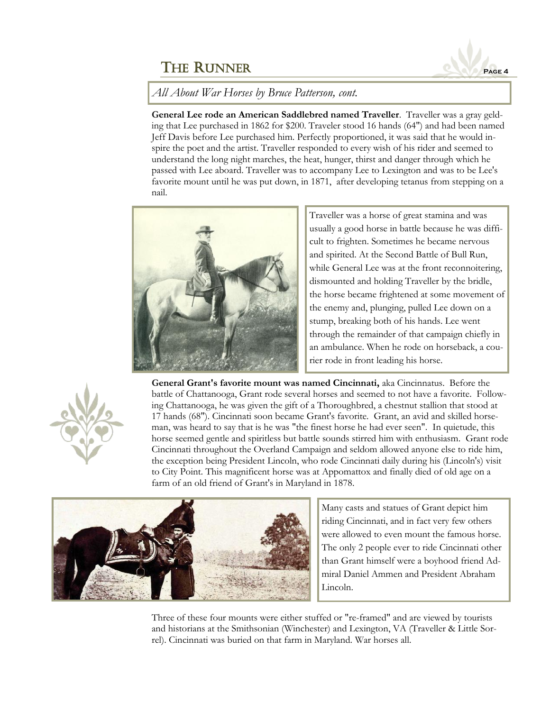

#### *All About War Horses by Bruce Patterson, cont.*

**General Lee rode an American Saddlebred named Traveller**. Traveller was a gray gelding that Lee purchased in 1862 for \$200. Traveler stood 16 hands (64") and had been named Jeff Davis before Lee purchased him. Perfectly proportioned, it was said that he would inspire the poet and the artist. Traveller responded to every wish of his rider and seemed to understand the long night marches, the heat, hunger, thirst and danger through which he passed with Lee aboard. Traveller was to accompany Lee to Lexington and was to be Lee's favorite mount until he was put down, in 1871, after developing tetanus from stepping on a nail.



Traveller was a horse of great stamina and was usually a good horse in battle because he was difficult to frighten. Sometimes he became nervous and spirited. At the Second Battle of Bull Run, while General Lee was at the front reconnoitering, dismounted and holding Traveller by the bridle, the horse became frightened at some movement of the enemy and, plunging, pulled Lee down on a stump, breaking both of his hands. Lee went through the remainder of that campaign chiefly in an ambulance. When he rode on horseback, a courier rode in front leading his horse.



**General Grant's favorite mount was named Cincinnati,** aka Cincinnatus. Before the battle of Chattanooga, Grant rode several horses and seemed to not have a favorite. Following Chattanooga, he was given the gift of a Thoroughbred, a chestnut stallion that stood at 17 hands (68"). Cincinnati soon became Grant's favorite. Grant, an avid and skilled horseman, was heard to say that is he was "the finest horse he had ever seen". In quietude, this horse seemed gentle and spiritless but battle sounds stirred him with enthusiasm. Grant rode Cincinnati throughout the Overland Campaign and seldom allowed anyone else to ride him, the exception being President Lincoln, who rode Cincinnati daily during his (Lincoln's) visit to City Point. This magnificent horse was at Appomattox and finally died of old age on a farm of an old friend of Grant's in Maryland in 1878.



Many casts and statues of Grant depict him riding Cincinnati, and in fact very few others were allowed to even mount the famous horse. The only 2 people ever to ride Cincinnati other than Grant himself were a boyhood friend Admiral Daniel Ammen and President Abraham Lincoln.

Three of these four mounts were either stuffed or "re-framed" and are viewed by tourists and historians at the Smithsonian (Winchester) and Lexington, VA (Traveller & Little Sorrel). Cincinnati was buried on that farm in Maryland. War horses all.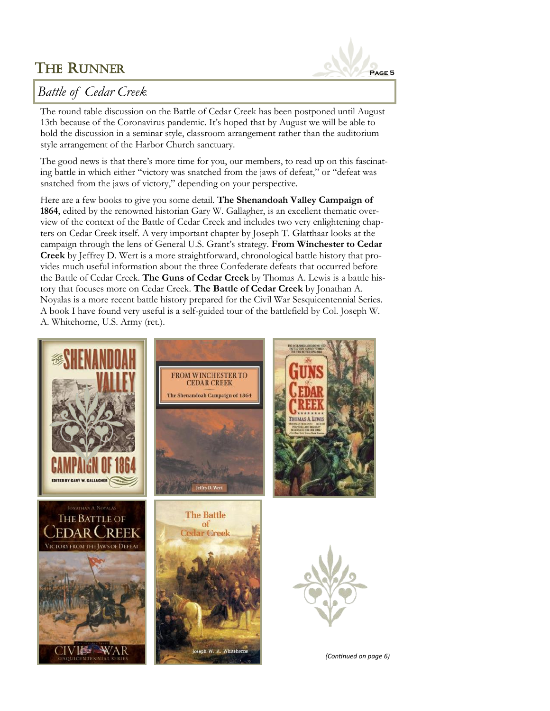

# *Battle of Cedar Creek*

The round table discussion on the Battle of Cedar Creek has been postponed until August 13th because of the Coronavirus pandemic. It's hoped that by August we will be able to hold the discussion in a seminar style, classroom arrangement rather than the auditorium style arrangement of the Harbor Church sanctuary.

The good news is that there's more time for you, our members, to read up on this fascinating battle in which either "victory was snatched from the jaws of defeat," or "defeat was snatched from the jaws of victory," depending on your perspective.

Here are a few books to give you some detail. **The Shenandoah Valley Campaign of 1864**, edited by the renowned historian Gary W. Gallagher, is an excellent thematic overview of the context of the Battle of Cedar Creek and includes two very enlightening chapters on Cedar Creek itself. A very important chapter by Joseph T. Glatthaar looks at the campaign through the lens of General U.S. Grant's strategy. **From Winchester to Cedar Creek** by Jeffrey D. Wert is a more straightforward, chronological battle history that provides much useful information about the three Confederate defeats that occurred before the Battle of Cedar Creek. **The Guns of Cedar Creek** by Thomas A. Lewis is a battle history that focuses more on Cedar Creek. **The Battle of Cedar Creek** by Jonathan A. Noyalas is a more recent battle history prepared for the Civil War Sesquicentennial Series. A book I have found very useful is a self-guided tour of the battlefield by Col. Joseph W. A. Whitehorne, U.S. Army (ret.).

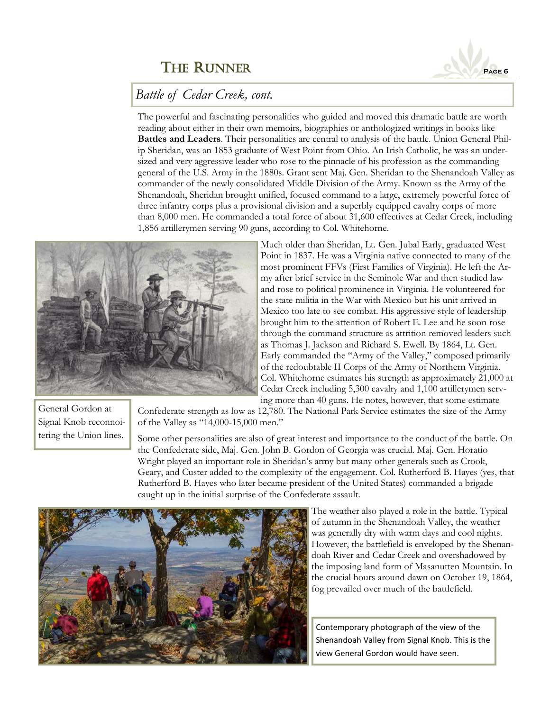

The powerful and fascinating personalities who guided and moved this dramatic battle are worth reading about either in their own memoirs, biographies or anthologized writings in books like **Battles and Leaders**. Their personalities are central to analysis of the battle. Union General Philip Sheridan, was an 1853 graduate of West Point from Ohio. An Irish Catholic, he was an undersized and very aggressive leader who rose to the pinnacle of his profession as the commanding general of the U.S. Army in the 1880s. Grant sent Maj. Gen. Sheridan to the Shenandoah Valley as commander of the newly consolidated Middle Division of the Army. Known as the Army of the Shenandoah, Sheridan brought unified, focused command to a large, extremely powerful force of three infantry corps plus a provisional division and a superbly equipped cavalry corps of more than 8,000 men. He commanded a total force of about 31,600 effectives at Cedar Creek, including 1,856 artillerymen serving 90 guns, according to Col. Whitehorne.



Much older than Sheridan, Lt. Gen. Jubal Early, graduated West Point in 1837. He was a Virginia native connected to many of the most prominent FFVs (First Families of Virginia). He left the Army after brief service in the Seminole War and then studied law and rose to political prominence in Virginia. He volunteered for the state militia in the War with Mexico but his unit arrived in Mexico too late to see combat. His aggressive style of leadership brought him to the attention of Robert E. Lee and he soon rose through the command structure as attrition removed leaders such as Thomas J. Jackson and Richard S. Ewell. By 1864, Lt. Gen. Early commanded the "Army of the Valley," composed primarily of the redoubtable II Corps of the Army of Northern Virginia. Col. Whitehorne estimates his strength as approximately 21,000 at Cedar Creek including 5,300 cavalry and 1,100 artillerymen serving more than 40 guns. He notes, however, that some estimate

General Gordon at Signal Knob reconnoitering the Union lines.

Confederate strength as low as 12,780. The National Park Service estimates the size of the Army of the Valley as "14,000-15,000 men."

Some other personalities are also of great interest and importance to the conduct of the battle. On the Confederate side, Maj. Gen. John B. Gordon of Georgia was crucial. Maj. Gen. Horatio Wright played an important role in Sheridan's army but many other generals such as Crook, Geary, and Custer added to the complexity of the engagement. Col. Rutherford B. Hayes (yes, that Rutherford B. Hayes who later became president of the United States) commanded a brigade caught up in the initial surprise of the Confederate assault.



The weather also played a role in the battle. Typical of autumn in the Shenandoah Valley, the weather was generally dry with warm days and cool nights. However, the battlefield is enveloped by the Shenandoah River and Cedar Creek and overshadowed by the imposing land form of Masanutten Mountain. In the crucial hours around dawn on October 19, 1864, fog prevailed over much of the battlefield.

Contemporary photograph of the view of the Shenandoah Valley from Signal Knob. This is the view General Gordon would have seen.

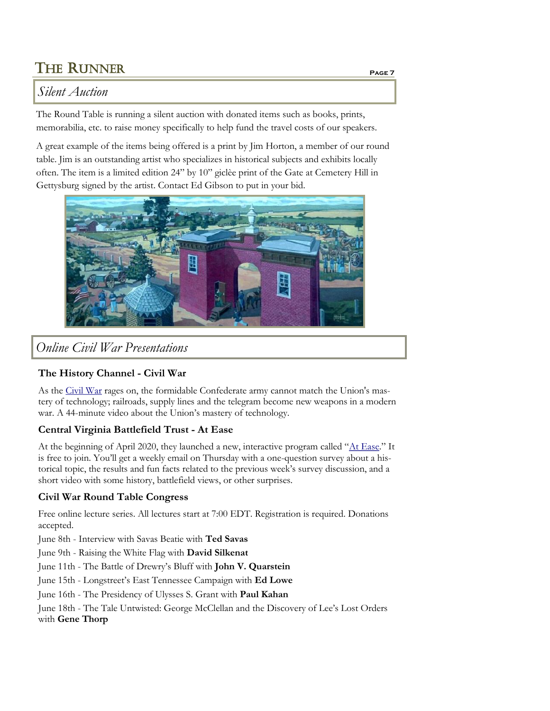# *Silent Auction*

The Round Table is running a silent auction with donated items such as books, prints, memorabilia, etc. to raise money specifically to help fund the travel costs of our speakers.

A great example of the items being offered is a print by Jim Horton, a member of our round table. Jim is an outstanding artist who specializes in historical subjects and exhibits locally often. The item is a limited edition 24" by 10" giclèe print of the Gate at Cemetery Hill in Gettysburg signed by the artist. Contact Ed Gibson to put in your bid.



*Online Civil War Presentations*

#### **The History Channel - Civil War**

As the [Civil War](https://www.history.com/videos/civil-war) rages on, the formidable Confederate army cannot match the Union's mastery of technology; railroads, supply lines and the telegram become new weapons in a modern war. A 44-minute video about the Union's mastery of technology.

#### **Central Virginia Battlefield Trust - At Ease**

At the beginning of April 2020, they launched a new, interactive program called "[At Ease](https://www.cvbt.org/at-ease)." It is free to join. You'll get a weekly email on Thursday with a one-question survey about a historical topic, the results and fun facts related to the previous week's survey discussion, and a short video with some history, battlefield views, or other surprises.

#### **Civil War Round Table Congress**

Free online lecture series. All lectures start at 7:00 EDT. Registration is required. Donations accepted.

June 8th - Interview with Savas Beatie with **Ted Savas**

June 9th - Raising the White Flag with **David Silkenat**

June 11th - The Battle of Drewry's Bluff with **John V. Quarstein**

June 15th - Longstreet's East Tennessee Campaign with **Ed Lowe**

June 16th - The Presidency of Ulysses S. Grant with **Paul Kahan**

June 18th - The Tale Untwisted: George McClellan and the Discovery of Lee's Lost Orders with **Gene Thorp**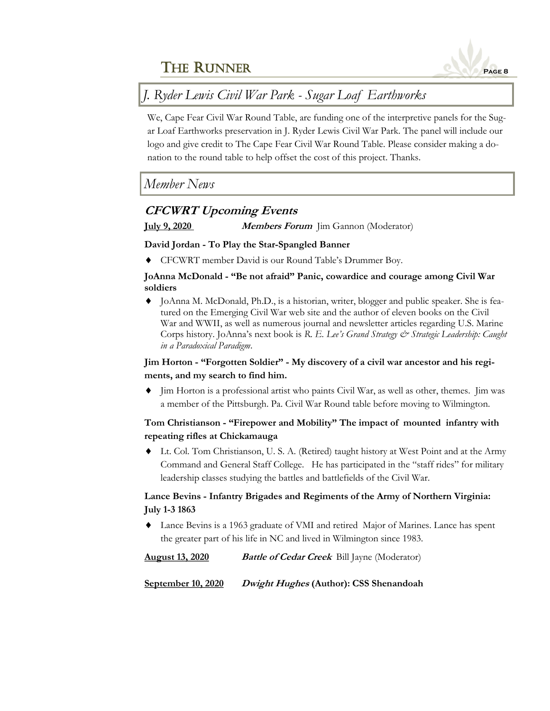

# *J. Ryder Lewis Civil War Park - Sugar Loaf Earthworks*

We, Cape Fear Civil War Round Table, are funding one of the interpretive panels for the Sugar Loaf Earthworks preservation in J. Ryder Lewis Civil War Park. The panel will include our logo and give credit to The Cape Fear Civil War Round Table. Please consider making a donation to the round table to help offset the cost of this project. Thanks.

### *Member News*

#### **CFCWRT Upcoming Events**

**July 9, 2020 Members Forum** Jim Gannon (Moderator)

#### **David Jordan - To Play the Star-Spangled Banner**

CFCWRT member David is our Round Table's Drummer Boy.

#### **JoAnna McDonald - "Be not afraid" Panic, cowardice and courage among Civil War soldiers**

 JoAnna M. McDonald, Ph.D., is a historian, writer, blogger and public speaker. She is featured on the Emerging Civil War web site and the author of eleven books on the Civil War and WWII, as well as numerous journal and newsletter articles regarding U.S. Marine Corps history. JoAnna's next book is *R. E. Lee's Grand Strategy & Strategic Leadership: Caught in a Paradoxical Paradigm*.

#### **Jim Horton - "Forgotten Soldier" - My discovery of a civil war ancestor and his regiments, and my search to find him.**

 $\blacklozenge$  Jim Horton is a professional artist who paints Civil War, as well as other, themes. Jim was a member of the Pittsburgh. Pa. Civil War Round table before moving to Wilmington.

#### **Tom Christianson - "Firepower and Mobility" The impact of mounted infantry with repeating rifles at Chickamauga**

 Lt. Col. Tom Christianson, U. S. A. (Retired) taught history at West Point and at the Army Command and General Staff College. He has participated in the "staff rides" for military leadership classes studying the battles and battlefields of the Civil War.

#### **Lance Bevins - Infantry Brigades and Regiments of the Army of Northern Virginia: July 1-3 1863**

 Lance Bevins is a 1963 graduate of VMI and retired Major of Marines. Lance has spent the greater part of his life in NC and lived in Wilmington since 1983.

**August 13, 2020 Battle of Cedar Creek** Bill Jayne (Moderator)

**September 10, 2020 Dwight Hughes (Author): CSS Shenandoah**